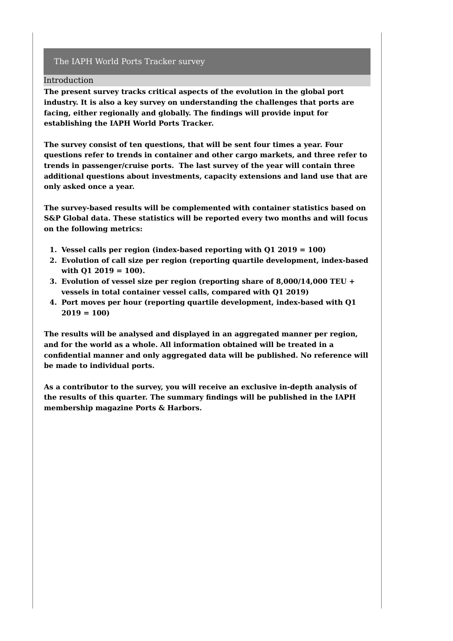#### Introduction

**The present survey tracks critical aspects of the evolution in the global port industry. It is also a key survey on understanding the challenges that ports are facing, either regionally and globally. The findings will provide input for establishing the IAPH World Ports Tracker.**

**The survey consist of ten questions, that will be sent four times a year. Four questions refer to trends in container and other cargo markets, and three refer to trends in passenger/cruise ports. The last survey of the year will contain three additional questions about investments, capacity extensions and land use that are only asked once a year.**

**The survey-based results will be complemented with container statistics based on S&P Global data. These statistics will be reported every two months and will focus on the following metrics:**

- **1. Vessel calls per region (index-based reporting with Q1 2019 = 100)**
- **2. Evolution of call size per region (reporting quartile development, index-based with Q1 2019 = 100).**
- **3. Evolution of vessel size per region (reporting share of 8,000/14,000 TEU + vessels in total container vessel calls, compared with Q1 2019)**
- **4. Port moves per hour (reporting quartile development, index-based with Q1 2019 = 100)**

**The results will be analysed and displayed in an aggregated manner per region, and for the world as a whole. All information obtained will be treated in a confidential manner and only aggregated data will be published. No reference will be made to individual ports.**

**As a contributor to the survey, you will receive an exclusive in-depth analysis of the results of this quarter. The summary findings will be published in the IAPH membership magazine Ports & Harbors.**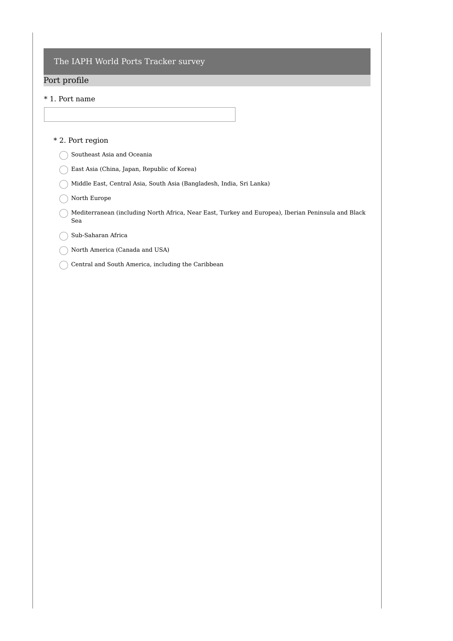## Port profile

### \* 1. Port name

#### \* 2. Port region

- Southeast Asia and Oceania
- East Asia (China, Japan, Republic of Korea)
- Middle East, Central Asia, South Asia (Bangladesh, India, Sri Lanka)
- ◯ North Europe
- $\bigcap$  Mediterranean (including North Africa, Near East, Turkey and Europea), Iberian Peninsula and Black Sea
- Sub-Saharan Africa
- North America (Canada and USA)
- $\bigcirc$  Central and South America, including the Caribbean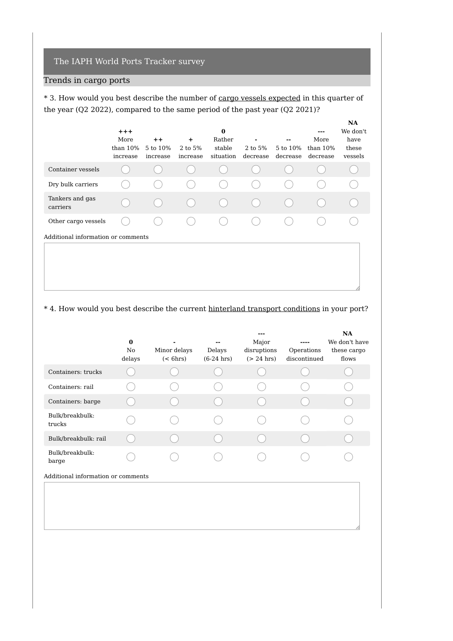# Trends in cargo ports

\* 3. How would you best describe the number of cargo vessels expected in this quarter of the year (Q2 2022), compared to the same period of the past year (Q2 2021)?

|                                    | $+ + +$<br>More<br>than $10\%$<br>increase | $++$<br>5 to 10%<br>increase | $\ddot{}$<br>$2 \text{ to } 5\%$<br>increase | $\bf{0}$<br>Rather<br>stable<br>situation | 2 to 5%<br>decrease | --<br>5 to 10%<br>decrease | ---<br>More<br>than $10\%$<br>decrease | <b>NA</b><br>We don't<br>have<br>these<br>vessels |
|------------------------------------|--------------------------------------------|------------------------------|----------------------------------------------|-------------------------------------------|---------------------|----------------------------|----------------------------------------|---------------------------------------------------|
| Container vessels                  |                                            |                              |                                              |                                           |                     |                            |                                        |                                                   |
| Dry bulk carriers                  |                                            |                              |                                              |                                           |                     |                            |                                        |                                                   |
| Tankers and gas<br>carriers        |                                            |                              |                                              |                                           |                     |                            |                                        |                                                   |
| Other cargo vessels                |                                            |                              |                                              |                                           |                     |                            |                                        |                                                   |
| Additional information or comments |                                            |                              |                                              |                                           |                     |                            |                                        |                                                   |

### \* 4. How would you best describe the current hinterland transport conditions in your port?

|                                    | $\bf{0}$<br>No<br>delays | Minor delays<br>$(<$ 6hrs) | --<br>Delays<br>$(6-24)$ hrs) | ---<br>Major<br>disruptions<br>$(> 24$ hrs) | Operations<br>discontinued | <b>NA</b><br>We don't have<br>these cargo<br>flows |
|------------------------------------|--------------------------|----------------------------|-------------------------------|---------------------------------------------|----------------------------|----------------------------------------------------|
| Containers: trucks                 |                          |                            |                               |                                             |                            |                                                    |
| Containers: rail                   |                          |                            |                               |                                             |                            |                                                    |
| Containers: barge                  |                          |                            |                               |                                             |                            |                                                    |
| Bulk/breakbulk:<br>trucks          |                          |                            |                               |                                             |                            |                                                    |
| Bulk/breakbulk: rail               |                          |                            |                               |                                             |                            |                                                    |
| Bulk/breakbulk:<br>barge           |                          |                            |                               |                                             |                            |                                                    |
| Additional information or comments |                          |                            |                               |                                             |                            |                                                    |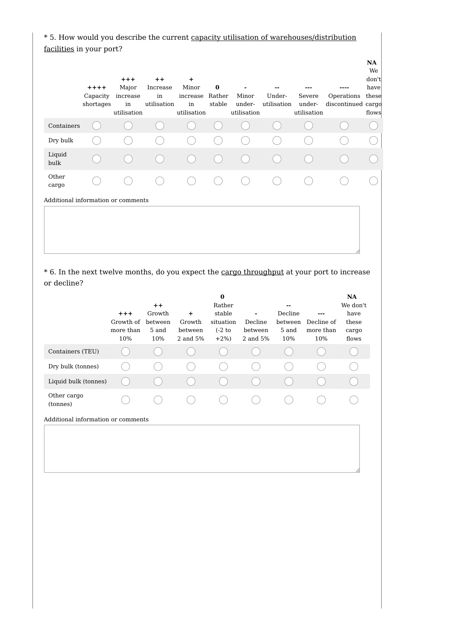\* 5. How would you describe the current capacity utilisation of warehouses/distribution facilities in your port?

|                                    | $++++$<br>Capacity<br>shortages | $^{+ + +}$<br>Major<br>increase<br>in<br>utilisation | $++$<br>Increase<br>in<br>utilisation | $\pm$<br>Minor<br>increase<br>in<br>utilisation | $\bf{0}$<br>Rather<br>stable | Minor<br>under-<br>utilisation | Under-<br>utilisation | Severe<br>under-<br>utilisation | Operations<br>discontinued cargo | NA<br>We<br>don't<br>have<br>these<br>flows |
|------------------------------------|---------------------------------|------------------------------------------------------|---------------------------------------|-------------------------------------------------|------------------------------|--------------------------------|-----------------------|---------------------------------|----------------------------------|---------------------------------------------|
| Containers                         |                                 |                                                      |                                       |                                                 |                              |                                |                       |                                 |                                  |                                             |
| Dry bulk                           |                                 |                                                      |                                       |                                                 |                              |                                |                       |                                 |                                  |                                             |
| Liquid<br>bulk                     |                                 |                                                      |                                       |                                                 |                              |                                |                       |                                 |                                  |                                             |
| Other<br>cargo                     |                                 |                                                      |                                       |                                                 |                              |                                |                       |                                 |                                  |                                             |
| Additional information or comments |                                 |                                                      |                                       |                                                 |                              |                                |                       |                                 |                                  |                                             |
|                                    |                                 |                                                      |                                       |                                                 |                              |                                |                       |                                 |                                  |                                             |

\* 6. In the next twelve months, do you expect the cargo throughput at your port to increase or decline?

|                                    | $+ + +$<br>Growth of<br>more than<br>10% | $++$<br>Growth<br>between<br>5 and<br>10% | $\ddot{}$<br>Growth<br>between<br>2 and 5% | $\bf{0}$<br>Rather<br>stable<br>situation<br>$(-2)$ to<br>$+2\%$ | ۰<br>Decline<br>between<br>2 and 5% | --<br>Decline<br>between<br>5 and<br>10% | ---<br>Decline of<br>more than<br>10% | <b>NA</b><br>We don't<br>have<br>these<br>cargo<br>flows |
|------------------------------------|------------------------------------------|-------------------------------------------|--------------------------------------------|------------------------------------------------------------------|-------------------------------------|------------------------------------------|---------------------------------------|----------------------------------------------------------|
| Containers (TEU)                   |                                          |                                           |                                            |                                                                  |                                     |                                          |                                       |                                                          |
| Dry bulk (tonnes)                  |                                          |                                           |                                            |                                                                  |                                     |                                          |                                       |                                                          |
| Liquid bulk (tonnes)               |                                          |                                           |                                            |                                                                  |                                     |                                          |                                       |                                                          |
| Other cargo<br>(tonnes)            |                                          |                                           |                                            |                                                                  |                                     |                                          |                                       |                                                          |
| Additional information or comments |                                          |                                           |                                            |                                                                  |                                     |                                          |                                       |                                                          |
|                                    |                                          |                                           |                                            |                                                                  |                                     |                                          |                                       |                                                          |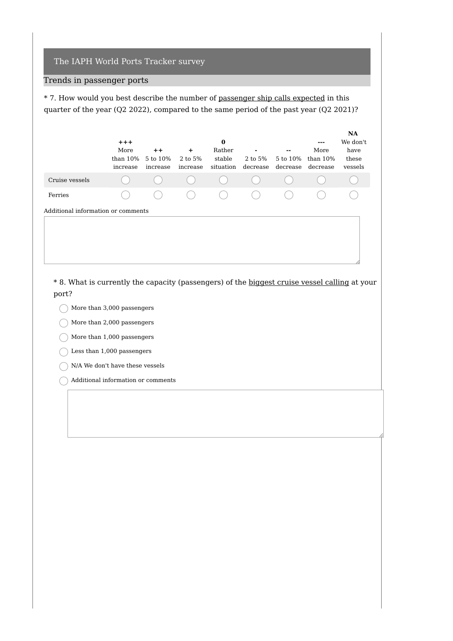## Trends in passenger ports

\* 7. How would you best describe the number of passenger ship calls expected in this quarter of the year (Q2 2022), compared to the same period of the past year (Q2 2021)?

|                                    | $+ + +$<br>More<br>than $10\%$<br>increase | $++$<br>5 to 10%<br>increase | ٠<br>2 to 5%<br>increase | 0<br>Rather<br>stable<br>situation | ٠<br>2 to 5%<br>decrease | $- -$<br>5 to 10%<br>decrease | $- - -$<br>More<br>than $10\%$<br>decrease | <b>NA</b><br>We don't<br>have<br>these<br>vessels |  |
|------------------------------------|--------------------------------------------|------------------------------|--------------------------|------------------------------------|--------------------------|-------------------------------|--------------------------------------------|---------------------------------------------------|--|
| Cruise vessels                     |                                            |                              | $($ )                    | $\qquad \qquad \Box$               | $\qquad \qquad \Box$     |                               |                                            |                                                   |  |
| Ferries                            |                                            |                              | (                        | (                                  | $($ )                    |                               |                                            |                                                   |  |
| Additional information or comments |                                            |                              |                          |                                    |                          |                               |                                            |                                                   |  |

\* 8. What is currently the capacity (passengers) of the biggest cruise vessel calling at your port?

- $\bigcap$  More than 3,000 passengers
- $\bigcap$  More than 2,000 passengers
- $\bigcirc$  More than 1,000 passengers
- $\bigcirc$  Less than 1,000 passengers
- $\bigcap$  N/A We don't have these vessels
- Additional information or comments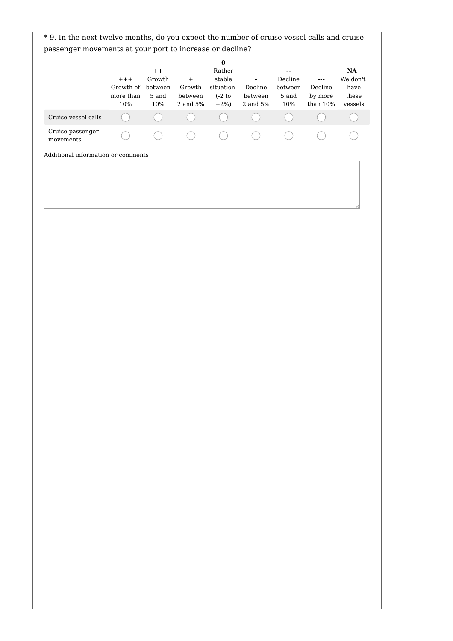\* 9. In the next twelve months, do you expect the number of cruise vessel calls and cruise passenger movements at your port to increase or decline?

|                                    | $+ + +$<br>Growth of<br>more than<br>10% | $++$<br>Growth<br>between<br>5 and<br>10% | $\ddot{}$<br>Growth<br>between<br>2 and 5% | $\bf{0}$<br>Rather<br>stable<br>situation<br>$(-2)$ to<br>$+2\%$ | Decline<br>between<br>2 and 5% | --<br>Decline<br>between<br>5 and<br>10% | ---<br>Decline<br>by more<br>than $10%$ | <b>NA</b><br>We don't<br>have<br>these<br>vessels |
|------------------------------------|------------------------------------------|-------------------------------------------|--------------------------------------------|------------------------------------------------------------------|--------------------------------|------------------------------------------|-----------------------------------------|---------------------------------------------------|
| Cruise vessel calls                |                                          |                                           |                                            |                                                                  |                                |                                          |                                         |                                                   |
| Cruise passenger<br>movements      |                                          |                                           |                                            |                                                                  |                                |                                          |                                         |                                                   |
| Additional information or comments |                                          |                                           |                                            |                                                                  |                                |                                          |                                         |                                                   |
|                                    |                                          |                                           |                                            |                                                                  |                                |                                          |                                         |                                                   |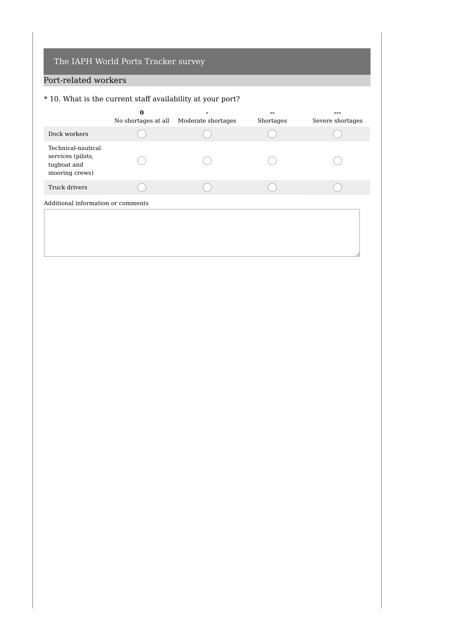# Port-related workers

# \* 10. What is the current staff availability at your port?

|                                                                          | 0                   |                    |           |                  |
|--------------------------------------------------------------------------|---------------------|--------------------|-----------|------------------|
|                                                                          | No shortages at all | Moderate shortages | Shortages | Severe shortages |
| Dock workers                                                             |                     |                    |           |                  |
| Technical-nautical<br>services (pilots,<br>tugboat and<br>mooring crews) |                     |                    |           |                  |
| Truck drivers                                                            |                     |                    |           |                  |
| Additional information or comments                                       |                     |                    |           |                  |